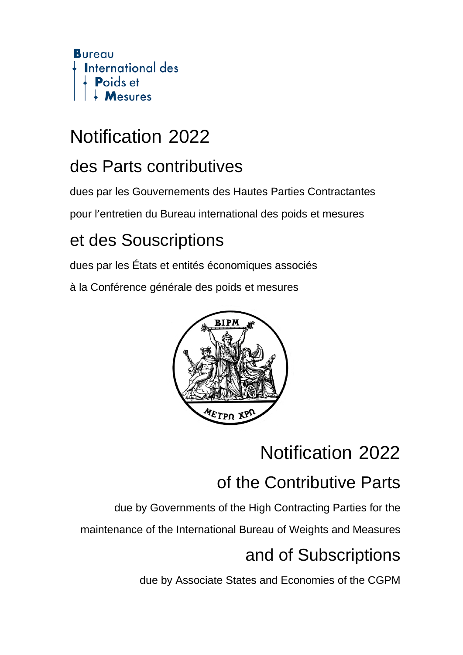

## Notification 2022

### des Parts contributives

dues par les Gouvernements des Hautes Parties Contractantes

pour l'entretien du Bureau international des poids et mesures

### et des Souscriptions

dues par les États et entités économiques associés

à la Conférence générale des poids et mesures



## Notification 2022

## of the Contributive Parts

due by Governments of the High Contracting Parties for the

maintenance of the International Bureau of Weights and Measures

## and of Subscriptions

due by Associate States and Economies of the CGPM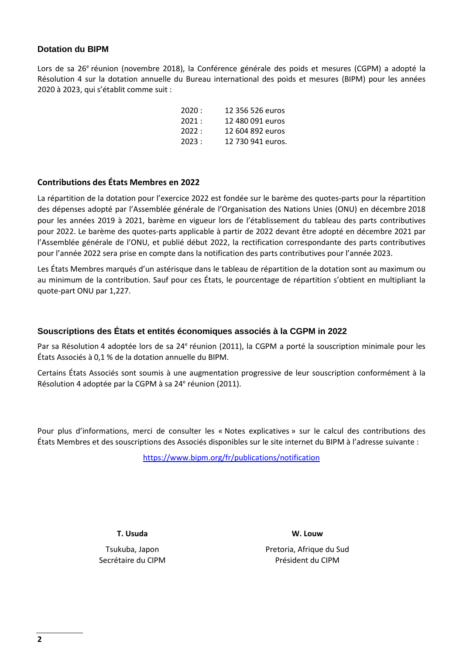#### **Dotation du BIPM**

Lors de sa 26<sup>e</sup> réunion (novembre 2018), la Conférence générale des poids et mesures (CGPM) a adopté la Résolution 4 sur la dotation annuelle du Bureau international des poids et mesures (BIPM) pour les années 2020 à 2023, qui s'établit comme suit :

| 2020: | 12 356 526 euros  |
|-------|-------------------|
| 2021: | 12 480 091 euros  |
| 2022: | 12 604 892 euros  |
| 2023: | 12 730 941 euros. |

#### **Contributions des États Membres en 2022**

La répartition de la dotation pour l'exercice 2022 est fondée sur le barème des quotes-parts pour la répartition des dépenses adopté par l'Assemblée générale de l'Organisation des Nations Unies (ONU) en décembre 2018 pour les années 2019 à 2021, barème en vigueur lors de l'établissement du tableau des parts contributives pour 2022. Le barème des quotes-parts applicable à partir de 2022 devant être adopté en décembre 2021 par l'Assemblée générale de l'ONU, et publié début 2022, la rectification correspondante des parts contributives pour l'année 2022 sera prise en compte dans la notification des parts contributives pour l'année 2023.

Les États Membres marqués d'un astérisque dans le tableau de répartition de la dotation sont au maximum ou au minimum de la contribution. Sauf pour ces États, le pourcentage de répartition s'obtient en multipliant la quote-part ONU par 1,227.

#### **Souscriptions des États et entités économiques associés à la CGPM in 2022**

Par sa Résolution 4 adoptée lors de sa 24<sup>e</sup> réunion (2011), la CGPM a porté la souscription minimale pour les États Associés à 0,1 % de la dotation annuelle du BIPM.

Certains États Associés sont soumis à une augmentation progressive de leur souscription conformément à la Résolution 4 adoptée par la CGPM à sa 24e réunion (2011).

Pour plus d'informations, merci de consulter les « Notes explicatives » sur le calcul des contributions des États Membres et des souscriptions des Associés disponibles sur le site internet du BIPM à l'adresse suivante :

<https://www.bipm.org/fr/publications/notification>

**T. Usuda**

Tsukuba, Japon Secrétaire du CIPM **W. Louw**

Pretoria, Afrique du Sud Président du CIPM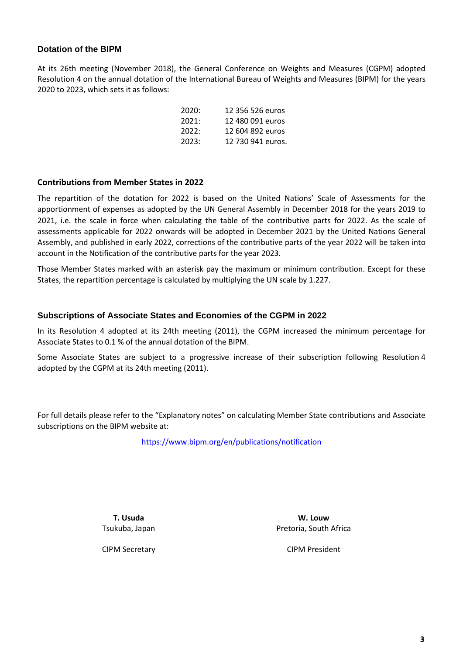#### **Dotation of the BIPM**

At its 26th meeting (November 2018), the General Conference on Weights and Measures (CGPM) adopted Resolution 4 on the annual dotation of the International Bureau of Weights and Measures (BIPM) for the years 2020 to 2023, which sets it as follows:

| 2020: | 12 356 526 euros  |
|-------|-------------------|
| 2021: | 12 480 091 euros  |
| 2022: | 12.604.892 euros  |
| 2023: | 12 730 941 euros. |

#### **Contributions from Member States in 2022**

The repartition of the dotation for 2022 is based on the United Nations' Scale of Assessments for the apportionment of expenses as adopted by the UN General Assembly in December 2018 for the years 2019 to 2021, i.e. the scale in force when calculating the table of the contributive parts for 2022. As the scale of assessments applicable for 2022 onwards will be adopted in December 2021 by the United Nations General Assembly, and published in early 2022, corrections of the contributive parts of the year 2022 will be taken into account in the Notification of the contributive parts for the year 2023.

Those Member States marked with an asterisk pay the maximum or minimum contribution. Except for these States, the repartition percentage is calculated by multiplying the UN scale by 1.227.

#### **Subscriptions of Associate States and Economies of the CGPM in 2022**

In its Resolution 4 adopted at its 24th meeting (2011), the CGPM increased the minimum percentage for Associate States to 0.1 % of the annual dotation of the BIPM.

Some Associate States are subject to a progressive increase of their subscription following Resolution 4 adopted by the CGPM at its 24th meeting (2011).

For full details please refer to the "Explanatory notes" on calculating Member State contributions and Associate subscriptions on the BIPM website at:

<https://www.bipm.org/en/publications/notification>

**T. Usuda** Tsukuba, Japan

**W. Louw** Pretoria, South Africa

CIPM Secretary

CIPM President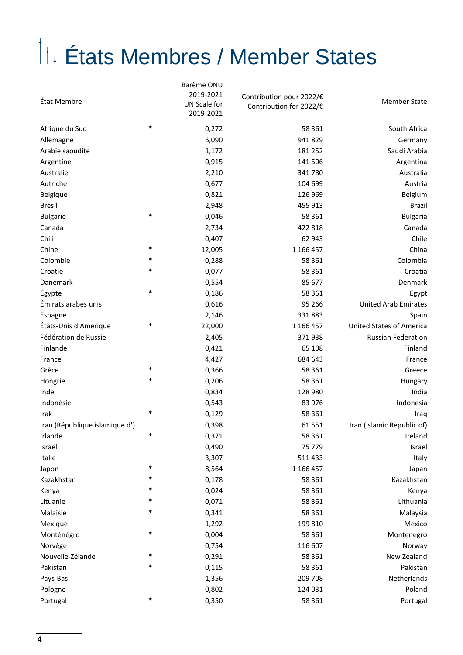# États Membres / Member States

|                                |        | Barème ONU<br>2019-2021   | Contribution pour 2022/€ |                                 |
|--------------------------------|--------|---------------------------|--------------------------|---------------------------------|
| État Membre                    |        | UN Scale for<br>2019-2021 | Contribution for 2022/€  | <b>Member State</b>             |
| Afrique du Sud                 | $\ast$ | 0,272                     | 58 361                   | South Africa                    |
| Allemagne                      |        | 6,090                     | 941 829                  | Germany                         |
| Arabie saoudite                |        | 1,172                     | 181 252                  | Saudi Arabia                    |
| Argentine                      |        | 0,915                     | 141 506                  | Argentina                       |
| Australie                      |        | 2,210                     | 341 780                  | Australia                       |
| Autriche                       |        | 0,677                     | 104 699                  | Austria                         |
| Belgique                       |        | 0,821                     | 126 969                  | Belgium                         |
| Brésil                         |        | 2,948                     | 455 913                  | Brazil                          |
| <b>Bulgarie</b>                | $\ast$ | 0,046                     | 58 361                   | <b>Bulgaria</b>                 |
| Canada                         |        | 2,734                     | 422 818                  | Canada                          |
| Chili                          |        | 0,407                     | 62 943                   | Chile                           |
| Chine                          | *      | 12,005                    | 1 166 457                | China                           |
| Colombie                       | *      | 0,288                     | 58 361                   | Colombia                        |
| Croatie                        | *      | 0,077                     | 58 361                   | Croatia                         |
| Danemark                       |        | 0,554                     | 85 677                   | Denmark                         |
| Égypte                         | $\ast$ | 0,186                     | 58 361                   | Egypt                           |
| Émirats arabes unis            |        | 0,616                     | 95 26 6                  | <b>United Arab Emirates</b>     |
| Espagne                        |        | 2,146                     | 331 883                  | Spain                           |
| États-Unis d'Amérique          | $\ast$ | 22,000                    | 1 166 457                | <b>United States of America</b> |
| Fédération de Russie           |        | 2,405                     | 371938                   | <b>Russian Federation</b>       |
| Finlande                       |        | 0,421                     | 65 108                   | Finland                         |
| France                         |        | 4,427                     | 684 643                  | France                          |
| Grèce                          | *      | 0,366                     | 58 361                   | Greece                          |
| Hongrie                        | *      | 0,206                     | 58 361                   | Hungary                         |
| Inde                           |        | 0,834                     | 128 980                  | India                           |
| Indonésie                      |        | 0,543                     | 83 976                   | Indonesia                       |
| Irak                           | $\ast$ | 0,129                     | 58 361                   | Iraq                            |
| Iran (République islamique d') |        | 0,398                     | 61 551                   | Iran (Islamic Republic of)      |
| Irlande                        | $\ast$ | 0,371                     | 58 361                   | Ireland                         |
| Israël                         |        | 0,490                     | 75 779                   | Israel                          |
| Italie                         |        | 3,307                     | 511 433                  | Italy                           |
| Japon                          | *      | 8,564                     | 1 166 457                | Japan                           |
| Kazakhstan                     | *      | 0,178                     | 58 361                   | Kazakhstan                      |
| Kenya                          | *      | 0,024                     | 58 361                   | Kenya                           |
| Lituanie                       | $\ast$ | 0,071                     | 58 361                   | Lithuania                       |
| Malaisie                       | *      | 0,341                     | 58 361                   | Malaysia                        |
| Mexique                        |        | 1,292                     | 199 810                  | Mexico                          |
| Monténégro                     | *      | 0,004                     | 58 361                   | Montenegro                      |
| Norvège                        |        | 0,754                     | 116 607                  | Norway                          |
| Nouvelle-Zélande               |        | 0,291                     | 58 361                   | New Zealand                     |
| Pakistan                       | *      | 0,115                     | 58 361                   | Pakistan                        |
| Pays-Bas                       |        | 1,356                     | 209 708                  | Netherlands                     |
| Pologne                        |        | 0,802                     | 124 031                  | Poland                          |
| Portugal                       | $\ast$ | 0,350                     | 58 361                   | Portugal                        |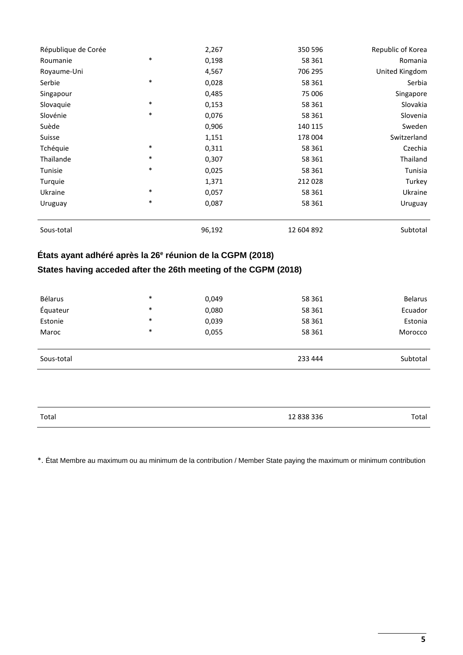| République de Corée |        | 2,267  | 350 596    | Republic of Korea |
|---------------------|--------|--------|------------|-------------------|
| Roumanie            | $\ast$ | 0,198  | 58 361     | Romania           |
| Royaume-Uni         |        | 4,567  | 706 295    | United Kingdom    |
| Serbie              | $\ast$ | 0,028  | 58 361     | Serbia            |
| Singapour           |        | 0,485  | 75 006     | Singapore         |
| Slovaquie           | $\ast$ | 0,153  | 58 361     | Slovakia          |
| Slovénie            | $\ast$ | 0,076  | 58 361     | Slovenia          |
| Suède               |        | 0,906  | 140 115    | Sweden            |
| Suisse              |        | 1,151  | 178 004    | Switzerland       |
| Tchéquie            | $\ast$ | 0,311  | 58 361     | Czechia           |
| Thaïlande           | $\ast$ | 0,307  | 58 361     | Thailand          |
| Tunisie             | $\ast$ | 0,025  | 58 361     | Tunisia           |
| Turquie             |        | 1,371  | 212 028    | Turkey            |
| Ukraine             | $\ast$ | 0,057  | 58 361     | Ukraine           |
| Uruguay             | $\ast$ | 0,087  | 58 361     | Uruguay           |
| Sous-total          |        | 96,192 | 12 604 892 | Subtotal          |

#### **États ayant adhéré après la 26e réunion de la CGPM (2018)**

#### **States having acceded after the 26th meeting of the CGPM (2018)**

| Bélarus    | $\ast$ | 0,049 | 58 361  | <b>Belarus</b> |
|------------|--------|-------|---------|----------------|
| Équateur   | $\ast$ | 0,080 | 58 361  | Ecuador        |
| Estonie    | *      | 0,039 | 58 361  | Estonia        |
| Maroc      | *      | 0,055 | 58 361  | Morocco        |
|            |        |       |         |                |
| Sous-total |        |       | 233 444 | Subtotal       |

| Total | 12 838 336<br>. | Total |
|-------|-----------------|-------|
|       |                 |       |

\*. État Membre au maximum ou au minimum de la contribution / Member State paying the maximum or minimum contribution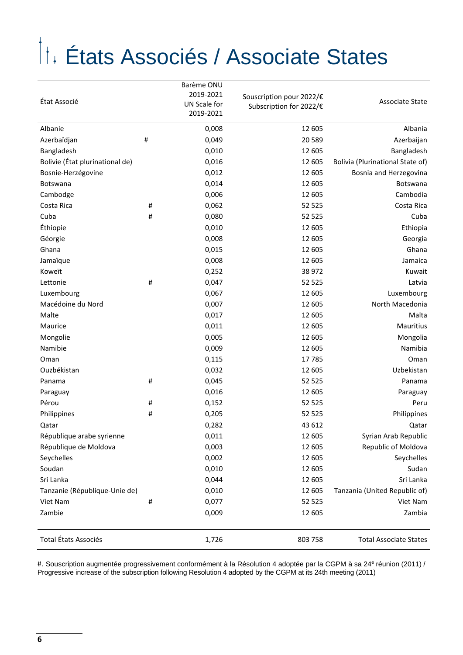## États Associés / Associate States

| État Associé                    |   | Barème ONU<br>2019-2021<br>UN Scale for<br>2019-2021 | Souscription pour 2022/€<br>Subscription for 2022/€ | Associate State                  |
|---------------------------------|---|------------------------------------------------------|-----------------------------------------------------|----------------------------------|
| Albanie                         |   | 0,008                                                | 12 605                                              | Albania                          |
| Azerbaïdjan                     | # | 0,049                                                | 20 5 89                                             | Azerbaijan                       |
| Bangladesh                      |   | 0,010                                                | 12 605                                              | Bangladesh                       |
| Bolivie (État plurinational de) |   | 0,016                                                | 12 605                                              | Bolivia (Plurinational State of) |
| Bosnie-Herzégovine              |   | 0,012                                                | 12 605                                              | Bosnia and Herzegovina           |
| Botswana                        |   | 0,014                                                | 12 605                                              | <b>Botswana</b>                  |
| Cambodge                        |   | 0,006                                                | 12 605                                              | Cambodia                         |
| Costa Rica                      | # | 0,062                                                | 52 525                                              | Costa Rica                       |
| Cuba                            | # | 0,080                                                | 52 525                                              | Cuba                             |
| Éthiopie                        |   | 0,010                                                | 12 605                                              | Ethiopia                         |
| Géorgie                         |   | 0,008                                                | 12 605                                              | Georgia                          |
| Ghana                           |   | 0,015                                                | 12 605                                              | Ghana                            |
| Jamaïque                        |   | 0,008                                                | 12 605                                              | Jamaica                          |
| Koweït                          |   | 0,252                                                | 38 972                                              | Kuwait                           |
| Lettonie                        | # | 0,047                                                | 52 525                                              | Latvia                           |
| Luxembourg                      |   | 0,067                                                | 12 605                                              | Luxembourg                       |
| Macédoine du Nord               |   | 0,007                                                | 12 605                                              | North Macedonia                  |
| Malte                           |   | 0,017                                                | 12 605                                              | Malta                            |
| Maurice                         |   | 0,011                                                | 12 605                                              | Mauritius                        |
| Mongolie                        |   | 0,005                                                | 12 605                                              | Mongolia                         |
| Namibie                         |   | 0,009                                                | 12 605                                              | Namibia                          |
| Oman                            |   | 0,115                                                | 17785                                               | Oman                             |
| Ouzbékistan                     |   | 0,032                                                | 12 605                                              | Uzbekistan                       |
| Panama                          | # | 0,045                                                | 52 525                                              | Panama                           |
| Paraguay                        |   | 0,016                                                | 12 605                                              | Paraguay                         |
| Pérou                           | # | 0,152                                                | 52 525                                              | Peru                             |
| Philippines                     | # | 0,205                                                | 52 525                                              | Philippines                      |
| Qatar                           |   | 0,282                                                | 43 612                                              | Qatar                            |
| République arabe syrienne       |   | 0,011                                                | 12 605                                              | Syrian Arab Republic             |
| République de Moldova           |   | 0,003                                                | 12 605                                              | Republic of Moldova              |
| Seychelles                      |   | 0,002                                                | 12 605                                              | Seychelles                       |
| Soudan                          |   | 0,010                                                | 12 605                                              | Sudan                            |
| Sri Lanka                       |   | 0,044                                                | 12 605                                              | Sri Lanka                        |
| Tanzanie (République-Unie de)   |   | 0,010                                                | 12 605                                              | Tanzania (United Republic of)    |
| Viet Nam                        | # | 0,077                                                | 52 525                                              | Viet Nam                         |
| Zambie                          |   | 0,009                                                | 12 605                                              | Zambia                           |
| Total États Associés            |   | 1,726                                                | 803 758                                             | <b>Total Associate States</b>    |

#. Souscription augmentée progressivement conformément à la Résolution 4 adoptée par la CGPM à sa 24<sup>e</sup> réunion (2011) / Progressive increase of the subscription following Resolution 4 adopted by the CGPM at its 24th meeting (2011)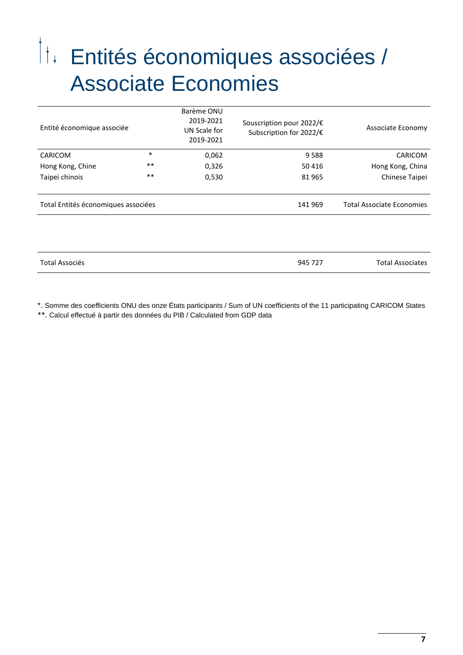## Entités économiques associées / Associate Economies

| Entité économique associée          |        | Barème ONU<br>2019-2021<br>UN Scale for<br>2019-2021 | Souscription pour 2022/€<br>Subscription for 2022/€ | Associate Economy                |
|-------------------------------------|--------|------------------------------------------------------|-----------------------------------------------------|----------------------------------|
| <b>CARICOM</b>                      | $\ast$ | 0,062                                                | 9588                                                | CARICOM                          |
| Hong Kong, Chine                    | $***$  | 0,326                                                | 50 416                                              | Hong Kong, China                 |
| Taipei chinois                      | $***$  | 0,530                                                | 81 965                                              | Chinese Taipei                   |
|                                     |        |                                                      |                                                     |                                  |
| Total Entités économiques associées |        |                                                      | 141 969                                             | <b>Total Associate Economies</b> |
|                                     |        |                                                      |                                                     |                                  |
|                                     |        |                                                      |                                                     |                                  |
| <b>Total Associés</b>               |        |                                                      | 945 727                                             | <b>Total Associates</b>          |

\*. Somme des coefficients ONU des onze États participants / Sum of UN coefficients of the 11 participating CARICOM States \*\*. Calcul effectué à partir des données du PIB / Calculated from GDP data